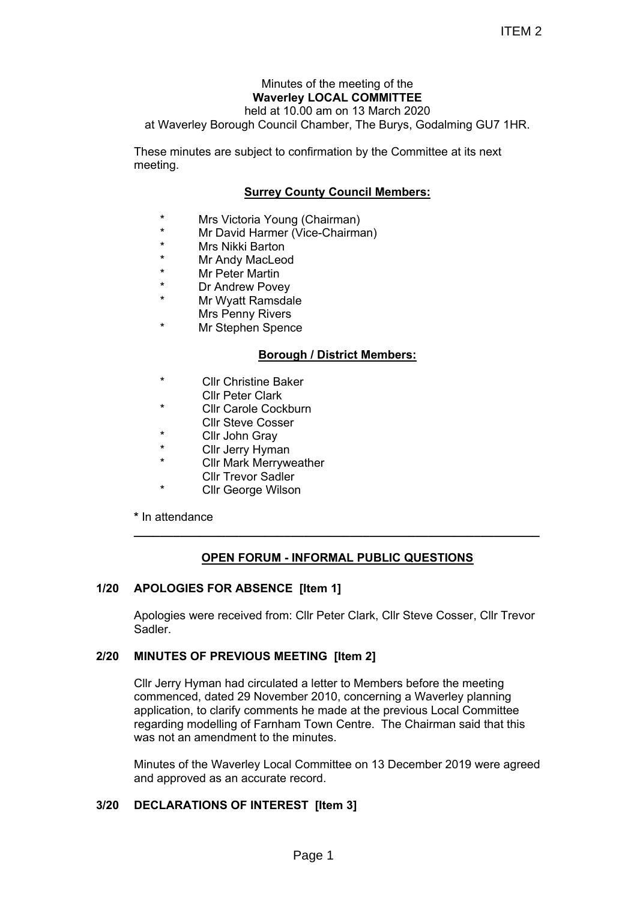# Minutes of the meeting of the **Waverley LOCAL COMMITTEE**

held at 10.00 am on 13 March 2020 at Waverley Borough Council Chamber, The Burys, Godalming GU7 1HR.

These minutes are subject to confirmation by the Committee at its next meeting.

# **Surrey County Council Members:**

- \* Mrs Victoria Young (Chairman)
- Mr David Harmer (Vice-Chairman)
- \* Mrs Nikki Barton
- \* Mr Andy MacLeod
- **Mr Peter Martin**
- \* Dr Andrew Povey
- Mr Wyatt Ramsdale Mrs Penny Rivers
- Mr Stephen Spence

# **Borough / District Members:**

- **Cllr Christine Baker** 
	- Cllr Peter Clark
- **Cllr Carole Cockburn**
- Cllr Steve Cosser
- Cllr John Gray
- \* Cllr Jerry Hyman
- **Cllr Mark Merryweather** Cllr Trevor Sadler
	-
	- Cllr George Wilson

**\*** In attendance

# **OPEN FORUM - INFORMAL PUBLIC QUESTIONS**

**\_\_\_\_\_\_\_\_\_\_\_\_\_\_\_\_\_\_\_\_\_\_\_\_\_\_\_\_\_\_\_\_\_\_\_\_\_\_\_\_\_\_\_\_\_\_\_\_\_\_\_\_\_\_\_\_\_\_\_\_\_\_**

# **1/20 APOLOGIES FOR ABSENCE [Item 1]**

Apologies were received from: Cllr Peter Clark, Cllr Steve Cosser, Cllr Trevor Sadler.

# **2/20 MINUTES OF PREVIOUS MEETING [Item 2]**

Cllr Jerry Hyman had circulated a letter to Members before the meeting commenced, dated 29 November 2010, concerning a Waverley planning application, to clarify comments he made at the previous Local Committee regarding modelling of Farnham Town Centre. The Chairman said that this was not an amendment to the minutes ITEM 2<br>
ITEM 2<br>
September, the meeting of the<br>
D.00 am on 13 March 2020<br>
Chamber, The Burys, Godalming GU7 1HR.<br>
confirmation by the Committee at its next<br>
contry Council Members:<br>
(Chairman)<br>
Nice-Chairman)<br>
Nice-Chairman

Minutes of the Waverley Local Committee on 13 December 2019 were agreed and approved as an accurate record.

# **3/20 DECLARATIONS OF INTEREST [Item 3]**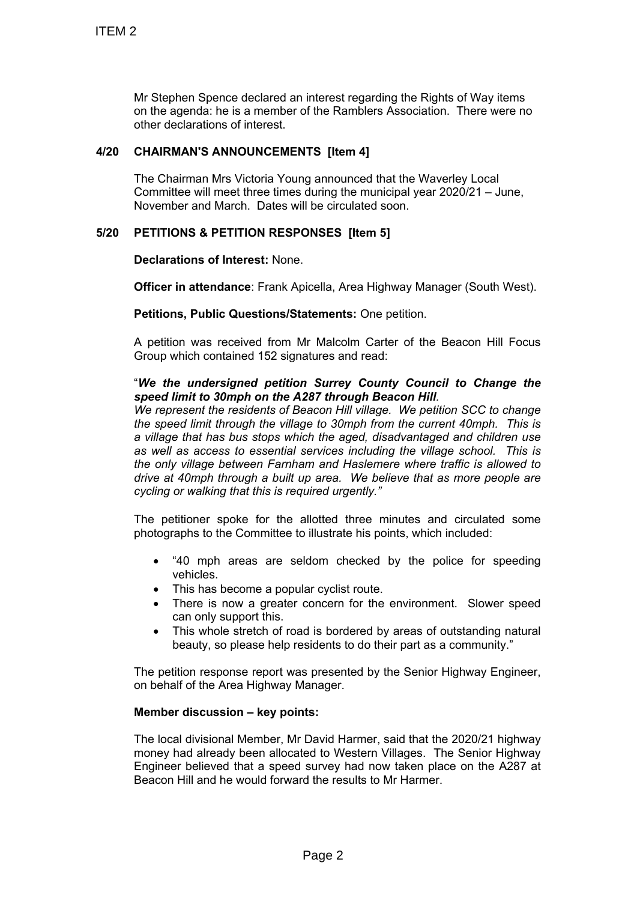Mr Stephen Spence declared an interest regarding the Rights of Way items on the agenda: he is a member of the Ramblers Association. There were no other declarations of interest.

# **4/20 CHAIRMAN'S ANNOUNCEMENTS [Item 4]**

The Chairman Mrs Victoria Young announced that the Waverley Local Committee will meet three times during the municipal year 2020/21 – June, November and March. Dates will be circulated soon.

# **5/20 PETITIONS & PETITION RESPONSES [Item 5]**

**Declarations of Interest:** None.

**Officer in attendance**: Frank Apicella, Area Highway Manager (South West).

**Petitions, Public Questions/Statements:** One petition.

A petition was received from Mr Malcolm Carter of the Beacon Hill Focus Group which contained 152 signatures and read:

# "*We the undersigned petition Surrey County Council to Change the speed limit to 30mph on the A287 through Beacon Hill.*

*We represent the residents of Beacon Hill village. We petition SCC to change the speed limit through the village to 30mph from the current 40mph. This is a village that has bus stops which the aged, disadvantaged and children use as well as access to essential services including the village school. This is the only village between Farnham and Haslemere where traffic is allowed to drive at 40mph through a built up area. We believe that as more people are cycling or walking that this is required urgently."* TTEM 2<br>
Mr Stephen Spence declared an interest<br>
on the agenda: he is a member of the Ri<br>
of the redatations of interest.<br>
4/20 CHAIRMAN'S ANNOUNCEMENTS [Ite Chinaman Mis Victoria Young annot<br>
The Chinaman Mis Victoria Youn

The petitioner spoke for the allotted three minutes and circulated some photographs to the Committee to illustrate his points, which included:

- "40 mph areas are seldom checked by the police for speeding vehicles.
- This has become a popular cyclist route.
- There is now a greater concern for the environment. Slower speed can only support this.
- This whole stretch of road is bordered by areas of outstanding natural beauty, so please help residents to do their part as a community."

The petition response report was presented by the Senior Highway Engineer, on behalf of the Area Highway Manager.

# **Member discussion – key points:**

The local divisional Member, Mr David Harmer, said that the 2020/21 highway money had already been allocated to Western Villages. The Senior Highway Engineer believed that a speed survey had now taken place on the A287 at Beacon Hill and he would forward the results to Mr Harmer.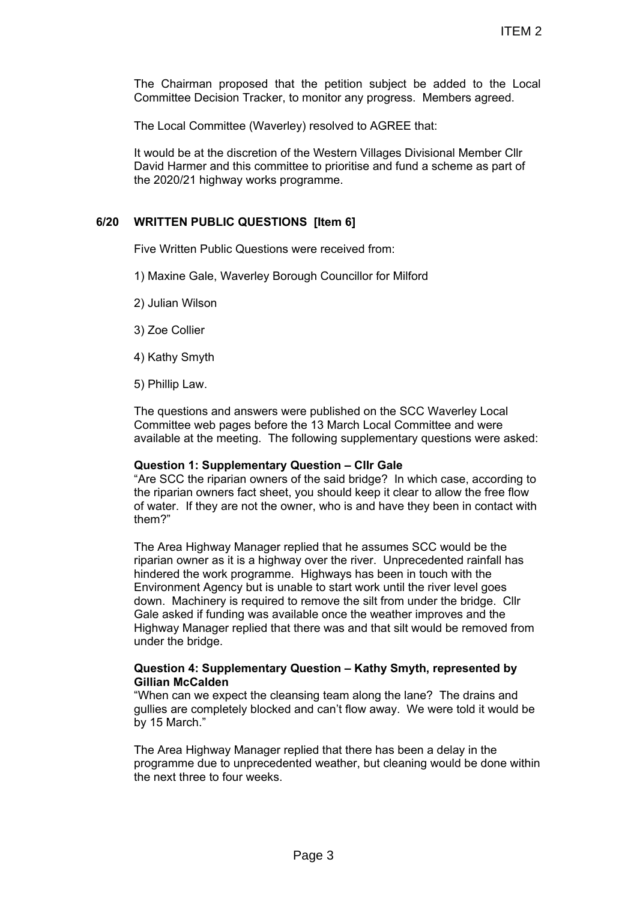The Chairman proposed that the petition subject be added to the Local Committee Decision Tracker, to monitor any progress. Members agreed.

The Local Committee (Waverley) resolved to AGREE that:

It would be at the discretion of the Western Villages Divisional Member Cllr David Harmer and this committee to prioritise and fund a scheme as part of the 2020/21 highway works programme.

### **6/20 WRITTEN PUBLIC QUESTIONS [Item 6]**

Five Written Public Questions were received from:

- 1) Maxine Gale, Waverley Borough Councillor for Milford
- 2) Julian Wilson
- 3) Zoe Collier
- 4) Kathy Smyth
- 5) Phillip Law.

The questions and answers were published on the SCC Waverley Local Committee web pages before the 13 March Local Committee and were available at the meeting. The following supplementary questions were asked:

#### **Question 1: Supplementary Question – Cllr Gale**

"Are SCC the riparian owners of the said bridge? In which case, according to the riparian owners fact sheet, you should keep it clear to allow the free flow of water. If they are not the owner, who is and have they been in contact with them?"

The Area Highway Manager replied that he assumes SCC would be the riparian owner as it is a highway over the river. Unprecedented rainfall has hindered the work programme. Highways has been in touch with the Environment Agency but is unable to start work until the river level goes down. Machinery is required to remove the silt from under the bridge. Cllr Gale asked if funding was available once the weather improves and the Highway Manager replied that there was and that silt would be removed from under the bridge. ITEM 2<br>
ITEM 2<br>
the petition subject be added to the Local<br>
by mesolved to AGREE that:<br>
the Western Villages Divisional Member Clir<br>
the Western Villages Divisional Member Clir<br>
the Western Villages Divisional Member Clir<br>

### **Question 4: Supplementary Question – Kathy Smyth, represented by Gillian McCalden**

"When can we expect the cleansing team along the lane? The drains and gullies are completely blocked and can't flow away. We were told it would be by 15 March."

The Area Highway Manager replied that there has been a delay in the programme due to unprecedented weather, but cleaning would be done within the next three to four weeks.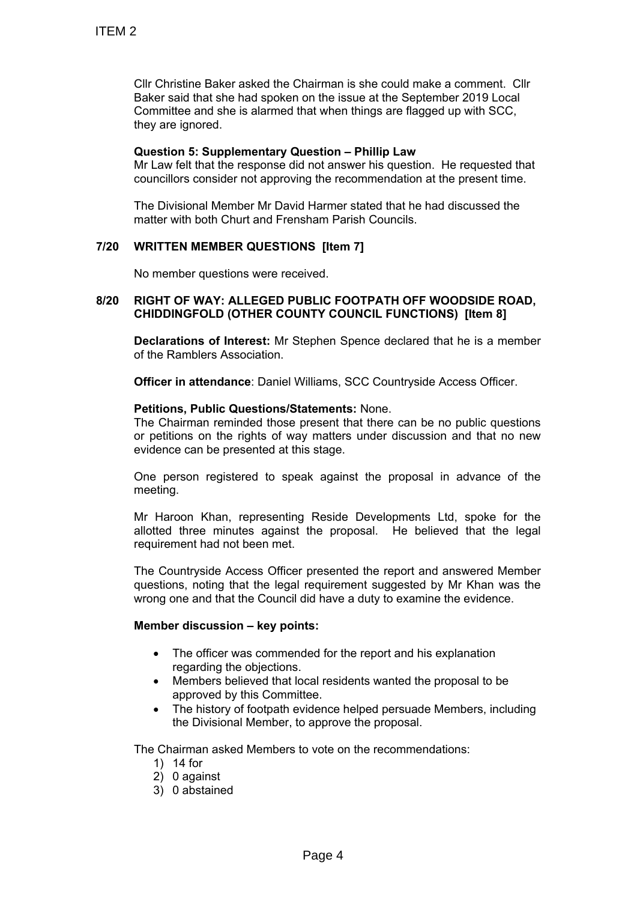Cllr Christine Baker asked the Chairman is she could make a comment. Cllr Baker said that she had spoken on the issue at the September 2019 Local Committee and she is alarmed that when things are flagged up with SCC, they are ignored. TTEM 2<br>
CIIr Christine Baker asked the Chairman<br>
Baker said that she had spoken on the is<br>
Committee and she is alarmed that where<br>
the value time and since and solution<br>
M. Law felt that the response did not ans<br>
councill

### **Question 5: Supplementary Question – Phillip Law**

Mr Law felt that the response did not answer his question. He requested that councillors consider not approving the recommendation at the present time.

The Divisional Member Mr David Harmer stated that he had discussed the matter with both Churt and Frensham Parish Councils.

# **7/20 WRITTEN MEMBER QUESTIONS [Item 7]**

No member questions were received.

### **8/20 RIGHT OF WAY: ALLEGED PUBLIC FOOTPATH OFF WOODSIDE ROAD, CHIDDINGFOLD (OTHER COUNTY COUNCIL FUNCTIONS) [Item 8]**

**Declarations of Interest:** Mr Stephen Spence declared that he is a member of the Ramblers Association.

**Officer in attendance**: Daniel Williams, SCC Countryside Access Officer.

#### **Petitions, Public Questions/Statements:** None.

The Chairman reminded those present that there can be no public questions or petitions on the rights of way matters under discussion and that no new evidence can be presented at this stage.

One person registered to speak against the proposal in advance of the meeting.

Mr Haroon Khan, representing Reside Developments Ltd, spoke for the allotted three minutes against the proposal. He believed that the legal requirement had not been met.

The Countryside Access Officer presented the report and answered Member questions, noting that the legal requirement suggested by Mr Khan was the wrong one and that the Council did have a duty to examine the evidence.

### **Member discussion – key points:**

- The officer was commended for the report and his explanation regarding the objections.
- Members believed that local residents wanted the proposal to be approved by this Committee.
- The history of footpath evidence helped persuade Members, including the Divisional Member, to approve the proposal.

The Chairman asked Members to vote on the recommendations:

- 1) 14 for
- 2) 0 against
- 3) 0 abstained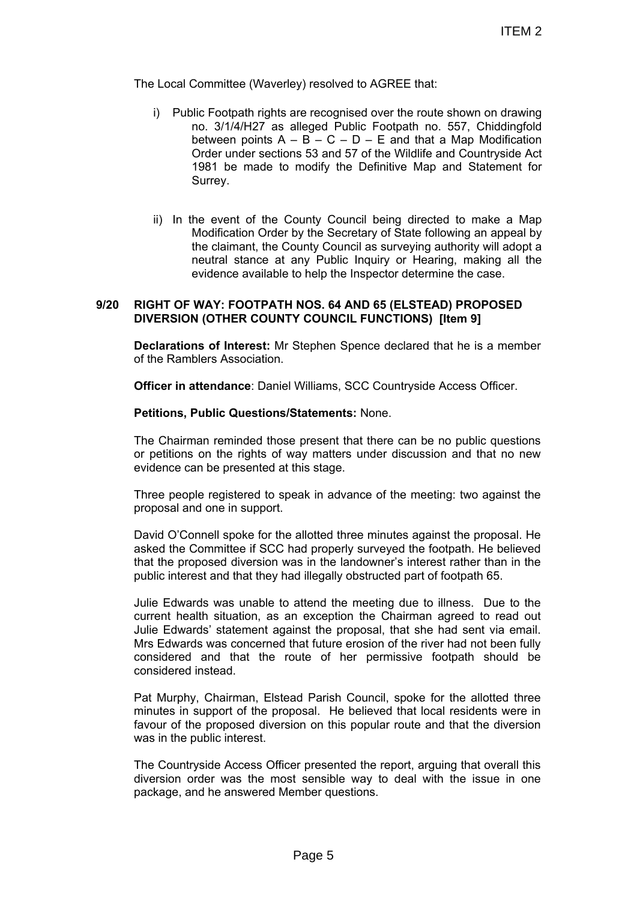The Local Committee (Waverley) resolved to AGREE that:

- i) Public Footpath rights are recognised over the route shown on drawing no. 3/1/4/H27 as alleged Public Footpath no. 557, Chiddingfold between points  $A - B - C - D - E$  and that a Map Modification Order under sections 53 and 57 of the Wildlife and Countryside Act 1981 be made to modify the Definitive Map and Statement for Surrey.
- ii) In the event of the County Council being directed to make a Map Modification Order by the Secretary of State following an appeal by the claimant, the County Council as surveying authority will adopt a neutral stance at any Public Inquiry or Hearing, making all the evidence available to help the Inspector determine the case.

### **9/20 RIGHT OF WAY: FOOTPATH NOS. 64 AND 65 (ELSTEAD) PROPOSED DIVERSION (OTHER COUNTY COUNCIL FUNCTIONS) [Item 9]**

**Declarations of Interest:** Mr Stephen Spence declared that he is a member of the Ramblers Association.

**Officer in attendance**: Daniel Williams, SCC Countryside Access Officer.

#### **Petitions, Public Questions/Statements:** None.

The Chairman reminded those present that there can be no public questions or petitions on the rights of way matters under discussion and that no new evidence can be presented at this stage.

Three people registered to speak in advance of the meeting: two against the proposal and one in support.

David O'Connell spoke for the allotted three minutes against the proposal. He asked the Committee if SCC had properly surveyed the footpath. He believed that the proposed diversion was in the landowner's interest rather than in the public interest and that they had illegally obstructed part of footpath 65.

Julie Edwards was unable to attend the meeting due to illness. Due to the current health situation, as an exception the Chairman agreed to read out Julie Edwards' statement against the proposal, that she had sent via email. Mrs Edwards was concerned that future erosion of the river had not been fully considered and that the route of her permissive footpath should be considered instead. ITEM 2<br>
and liegal over the route shown on drawing<br>
are recognised over the route shown on drawing<br>
allegared Public Footpath no. 557, Chiddingfold<br>
B B C D D E and that a Map Modification<br>
modify the Definitive Map and St

Pat Murphy, Chairman, Elstead Parish Council, spoke for the allotted three minutes in support of the proposal. He believed that local residents were in favour of the proposed diversion on this popular route and that the diversion was in the public interest.

The Countryside Access Officer presented the report, arguing that overall this diversion order was the most sensible way to deal with the issue in one package, and he answered Member questions.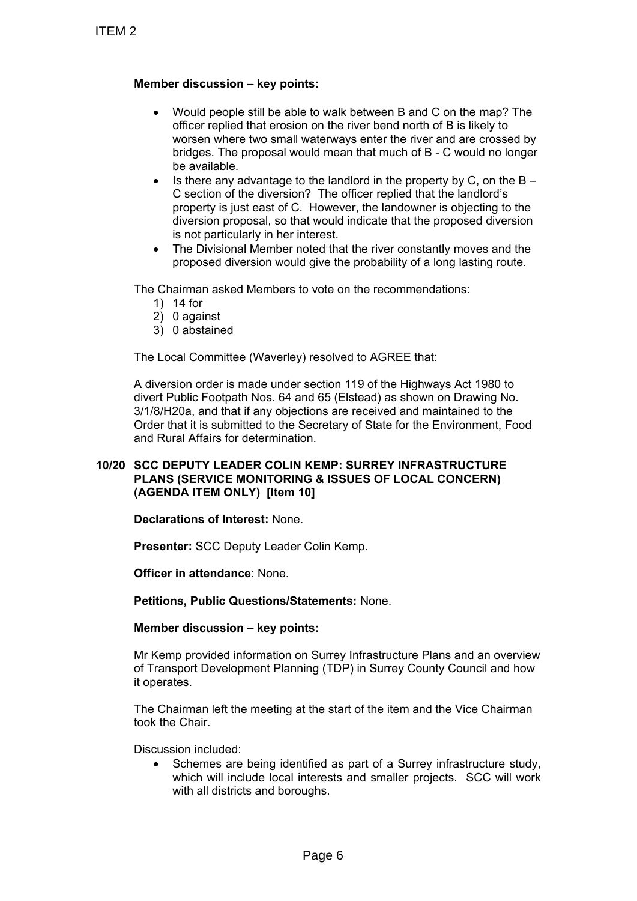# **Member discussion – key points:**

- Would people still be able to walk between B and C on the map? The officer replied that erosion on the river bend north of B is likely to worsen where two small waterways enter the river and are crossed by bridges. The proposal would mean that much of B - C would no longer be available.
- Is there any advantage to the landlord in the property by C, on the  $B -$ C section of the diversion? The officer replied that the landlord's property is just east of C. However, the landowner is objecting to the diversion proposal, so that would indicate that the proposed diversion is not particularly in her interest.
- The Divisional Member noted that the river constantly moves and the proposed diversion would give the probability of a long lasting route.

The Chairman asked Members to vote on the recommendations:

- 1) 14 for
- 2) 0 against
- 3) 0 abstained

The Local Committee (Waverley) resolved to AGREE that:

A diversion order is made under section 119 of the Highways Act 1980 to divert Public Footpath Nos. 64 and 65 (Elstead) as shown on Drawing No. 3/1/8/H20a, and that if any objections are received and maintained to the Order that it is submitted to the Secretary of State for the Environment, Food and Rural Affairs for determination. TTEM 2<br>
Would people still be able to wall<br>
offer replied that erosion on the<br>
offer replied that erosion on the<br>
worsen where two small waterwe<br>
be available.<br>
In the proposal would meet<br>
be available.<br>
In the proposal wo

## **10/20 SCC DEPUTY LEADER COLIN KEMP: SURREY INFRASTRUCTURE PLANS (SERVICE MONITORING & ISSUES OF LOCAL CONCERN) (AGENDA ITEM ONLY) [Item 10]**

**Declarations of Interest:** None.

**Presenter:** SCC Deputy Leader Colin Kemp.

**Officer in attendance**: None.

**Petitions, Public Questions/Statements:** None.

**Member discussion – key points:**

Mr Kemp provided information on Surrey Infrastructure Plans and an overview of Transport Development Planning (TDP) in Surrey County Council and how it operates.

The Chairman left the meeting at the start of the item and the Vice Chairman took the Chair.

Discussion included:

 Schemes are being identified as part of a Surrey infrastructure study, which will include local interests and smaller projects. SCC will work with all districts and boroughs.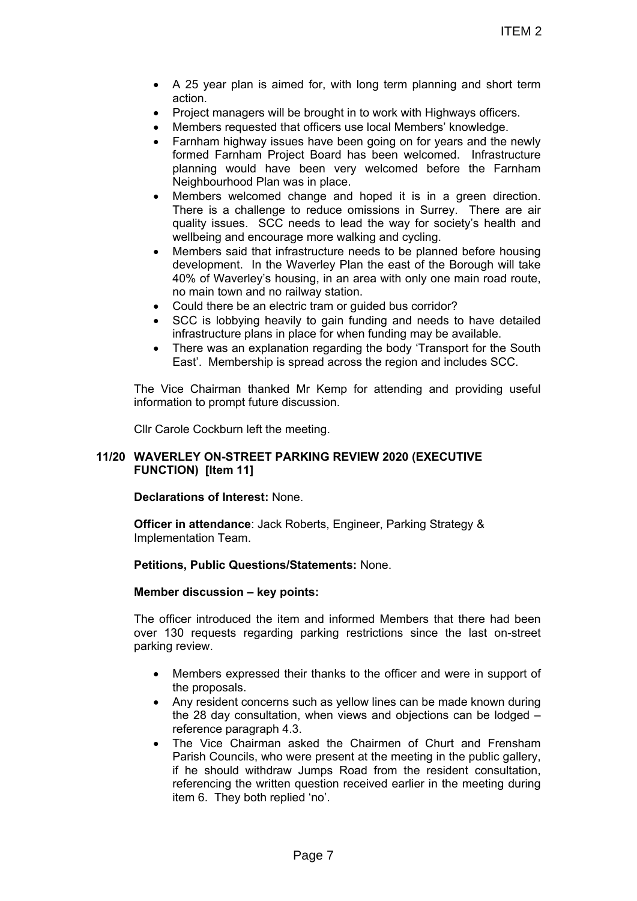- A 25 year plan is aimed for, with long term planning and short term action.
- Project managers will be brought in to work with Highways officers.
- Members requested that officers use local Members' knowledge.
- Farnham highway issues have been going on for years and the newly formed Farnham Project Board has been welcomed. Infrastructure planning would have been very welcomed before the Farnham Neighbourhood Plan was in place.
- Members welcomed change and hoped it is in a green direction. There is a challenge to reduce omissions in Surrey. There are air quality issues. SCC needs to lead the way for society's health and wellbeing and encourage more walking and cycling.
- Members said that infrastructure needs to be planned before housing development. In the Waverley Plan the east of the Borough will take 40% of Waverley's housing, in an area with only one main road route, no main town and no railway station.
- Could there be an electric tram or guided bus corridor?
- SCC is lobbying heavily to gain funding and needs to have detailed infrastructure plans in place for when funding may be available.
- There was an explanation regarding the body 'Transport for the South East'. Membership is spread across the region and includes SCC.

The Vice Chairman thanked Mr Kemp for attending and providing useful information to prompt future discussion.

Cllr Carole Cockburn left the meeting.

# **11/20 WAVERLEY ON-STREET PARKING REVIEW 2020 (EXECUTIVE FUNCTION) [Item 11]**

**Declarations of Interest:** None.

**Officer in attendance**: Jack Roberts, Engineer, Parking Strategy & Implementation Team.

**Petitions, Public Questions/Statements:** None.

#### **Member discussion – key points:**

The officer introduced the item and informed Members that there had been over 130 requests regarding parking restrictions since the last on-street parking review.

- Members expressed their thanks to the officer and were in support of the proposals.
- Any resident concerns such as yellow lines can be made known during the 28 day consultation, when views and objections can be lodged – reference paragraph 4.3.
- The Vice Chairman asked the Chairmen of Churt and Frensham Parish Councils, who were present at the meeting in the public gallery, if he should withdraw Jumps Road from the resident consultation, referencing the written question received earlier in the meeting during item 6. They both replied 'no'. ITEM 2<br>
and for, with long term planning and short term<br>
brought in to work with Highways officers.<br>
Informers is considerables knowledge.<br>
Its have been going on for years and the newly<br>
been very welcomed before the Famh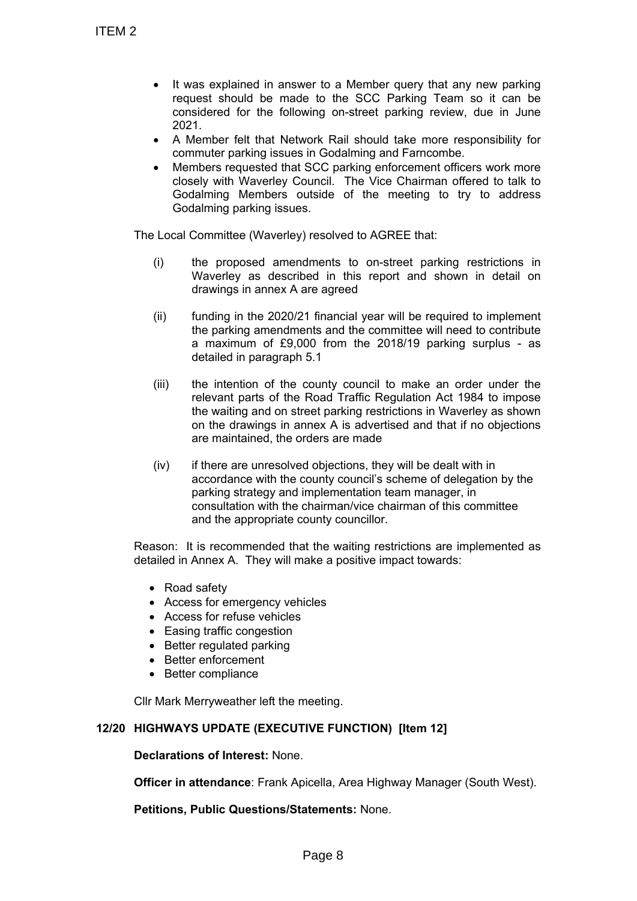- It was explained in answer to a Member query that any new parking request should be made to the SCC Parking Team so it can be considered for the following on-street parking review, due in June 2021.
- A Member felt that Network Rail should take more responsibility for commuter parking issues in Godalming and Farncombe.
- Members requested that SCC parking enforcement officers work more closely with Waverley Council. The Vice Chairman offered to talk to Godalming Members outside of the meeting to try to address Godalming parking issues.

The Local Committee (Waverley) resolved to AGREE that:

- (i) the proposed amendments to on-street parking restrictions in Waverley as described in this report and shown in detail on drawings in annex A are agreed
- (ii) funding in the 2020/21 financial year will be required to implement the parking amendments and the committee will need to contribute a maximum of £9,000 from the 2018/19 parking surplus - as detailed in paragraph 5.1
- (iii) the intention of the county council to make an order under the relevant parts of the Road Traffic Regulation Act 1984 to impose the waiting and on street parking restrictions in Waverley as shown on the drawings in annex A is advertised and that if no objections are maintained, the orders are made TTEM 2<br>
• It was explained in answer to a<br>
request should be made to the considered for the following or<br>
2021.<br>
• A Member felt that Network Ra<br>
• commuter parking issues in God.<br>
• Members requested that SCC packing issu
	- (iv) if there are unresolved objections, they will be dealt with in accordance with the county council's scheme of delegation by the parking strategy and implementation team manager, in consultation with the chairman/vice chairman of this committee and the appropriate county councillor.

Reason: It is recommended that the waiting restrictions are implemented as detailed in Annex A. They will make a positive impact towards:

- Road safety
- Access for emergency vehicles
- Access for refuse vehicles
- Easing traffic congestion
- Better regulated parking
- Better enforcement
- Better compliance

Cllr Mark Merryweather left the meeting.

# **12/20 HIGHWAYS UPDATE (EXECUTIVE FUNCTION) [Item 12]**

**Declarations of Interest:** None.

**Officer in attendance**: Frank Apicella, Area Highway Manager (South West).

**Petitions, Public Questions/Statements:** None.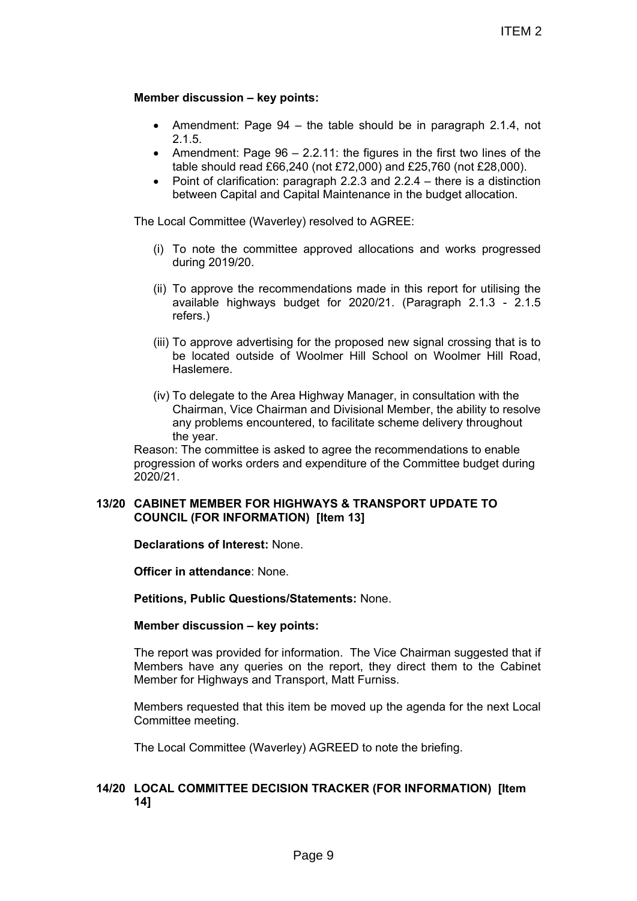## **Member discussion – key points:**

- Amendment: Page  $94 -$  the table should be in paragraph 2.1.4, not 2.1.5.
- Amendment: Page  $96 2.2.11$ : the figures in the first two lines of the table should read £66,240 (not £72,000) and £25,760 (not £28,000).
- Point of clarification: paragraph 2.2.3 and  $2.2.4$  there is a distinction between Capital and Capital Maintenance in the budget allocation.

The Local Committee (Waverley) resolved to AGREE:

- (i) To note the committee approved allocations and works progressed during 2019/20.
- (ii) To approve the recommendations made in this report for utilising the available highways budget for 2020/21. (Paragraph 2.1.3 - 2.1.5 refers.)
- (iii) To approve advertising for the proposed new signal crossing that is to be located outside of Woolmer Hill School on Woolmer Hill Road, Haslemere.
- (iv) To delegate to the Area Highway Manager, in consultation with the Chairman, Vice Chairman and Divisional Member, the ability to resolve any problems encountered, to facilitate scheme delivery throughout the year. ITEM 2<br>
ints:<br>
- the table should be in paragraph 2.1.4, not<br>
- 2.2.11: the figures in the first two lines of the<br>
424 (not £72,000) and £25,760 (not £28,000).<br>
pragraph 2.2.3 and 2.24 - there is a distinction<br>
poptial Mai

Reason: The committee is asked to agree the recommendations to enable progression of works orders and expenditure of the Committee budget during  $2020/21$ 

# **13/20 CABINET MEMBER FOR HIGHWAYS & TRANSPORT UPDATE TO COUNCIL (FOR INFORMATION) [Item 13]**

**Declarations of Interest:** None.

**Officer in attendance**: None.

**Petitions, Public Questions/Statements:** None.

**Member discussion – key points:**

The report was provided for information. The Vice Chairman suggested that if Members have any queries on the report, they direct them to the Cabinet Member for Highways and Transport, Matt Furniss.

Members requested that this item be moved up the agenda for the next Local Committee meeting.

The Local Committee (Waverley) AGREED to note the briefing.

# **14/20 LOCAL COMMITTEE DECISION TRACKER (FOR INFORMATION) [Item 14]**